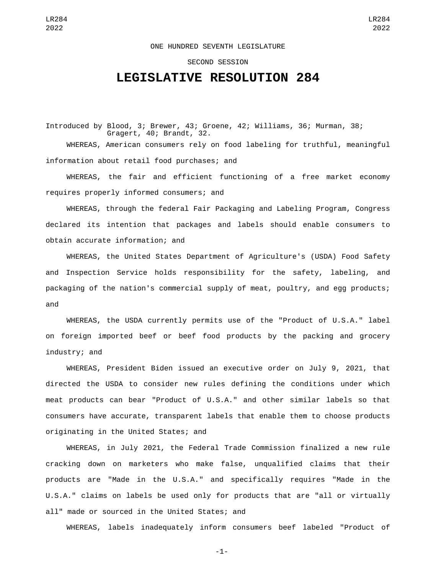## ONE HUNDRED SEVENTH LEGISLATURE

## SECOND SESSION

## **LEGISLATIVE RESOLUTION 284**

Introduced by Blood, 3; Brewer, 43; Groene, 42; Williams, 36; Murman, 38; Gragert, 40; Brandt, 32. WHEREAS, American consumers rely on food labeling for truthful, meaningful

information about retail food purchases; and

WHEREAS, the fair and efficient functioning of a free market economy requires properly informed consumers; and

WHEREAS, through the federal Fair Packaging and Labeling Program, Congress declared its intention that packages and labels should enable consumers to obtain accurate information; and

WHEREAS, the United States Department of Agriculture's (USDA) Food Safety and Inspection Service holds responsibility for the safety, labeling, and packaging of the nation's commercial supply of meat, poultry, and egg products; and

WHEREAS, the USDA currently permits use of the "Product of U.S.A." label on foreign imported beef or beef food products by the packing and grocery industry; and

WHEREAS, President Biden issued an executive order on July 9, 2021, that directed the USDA to consider new rules defining the conditions under which meat products can bear "Product of U.S.A." and other similar labels so that consumers have accurate, transparent labels that enable them to choose products originating in the United States; and

WHEREAS, in July 2021, the Federal Trade Commission finalized a new rule cracking down on marketers who make false, unqualified claims that their products are "Made in the U.S.A." and specifically requires "Made in the U.S.A." claims on labels be used only for products that are "all or virtually all" made or sourced in the United States; and

WHEREAS, labels inadequately inform consumers beef labeled "Product of

-1-